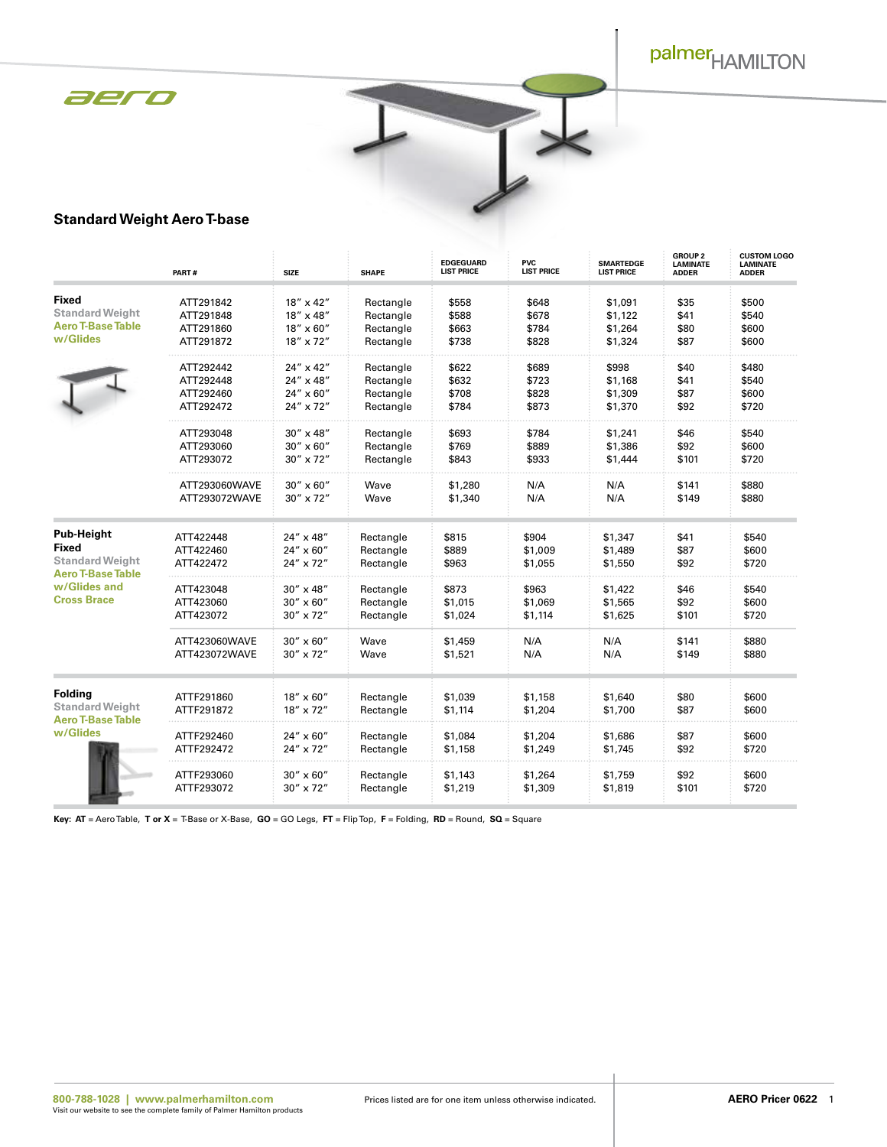



### **Standard Weight Aero T-base**

|                                                                                                                        | PART#                                            | <b>SIZE</b>                                                        | <b>SHAPE</b>                                     | <b>EDGEGUARD</b><br><b>LIST PRICE</b> | <b>PVC</b><br><b>LIST PRICE</b>  | <b>SMARTEDGE</b><br><b>LIST PRICE</b>    | <b>GROUP 2</b><br><b>LAMINATE</b><br><b>ADDER</b> | <b>CUSTOM LOGO</b><br><b>LAMINATE</b><br><b>ADDER</b> |
|------------------------------------------------------------------------------------------------------------------------|--------------------------------------------------|--------------------------------------------------------------------|--------------------------------------------------|---------------------------------------|----------------------------------|------------------------------------------|---------------------------------------------------|-------------------------------------------------------|
| <b>Fixed</b><br><b>Standard Weight</b><br><b>Aero T-Base Table</b><br>w/Glides                                         | ATT291842<br>ATT291848<br>ATT291860<br>ATT291872 | 18" x 42"<br>18" x 48"<br>$18'' \times 60''$<br>18" x 72"          | Rectangle<br>Rectangle<br>Rectangle<br>Rectangle | \$558<br>\$588<br>\$663<br>\$738      | \$648<br>\$678<br>\$784<br>\$828 | \$1,091<br>\$1,122<br>\$1,264<br>\$1,324 | \$35<br>\$41<br>\$80<br>\$87                      | \$500<br>\$540<br>\$600<br>\$600                      |
|                                                                                                                        | ATT292442<br>ATT292448<br>ATT292460<br>ATT292472 | 24" x 42"<br>$24'' \times 48''$<br>$24'' \times 60''$<br>24" x 72" | Rectangle<br>Rectangle<br>Rectangle<br>Rectangle | \$622<br>\$632<br>\$708<br>\$784      | \$689<br>\$723<br>\$828<br>\$873 | \$998<br>\$1,168<br>\$1,309<br>\$1,370   | \$40<br>\$41<br>\$87<br>\$92                      | \$480<br>\$540<br>\$600<br>\$720                      |
|                                                                                                                        | ATT293048<br>ATT293060<br>ATT293072              | 30" x 48"<br>$30'' \times 60''$<br>30" x 72"                       | Rectangle<br>Rectangle<br>Rectangle              | \$693<br>\$769<br>\$843               | \$784<br>\$889<br>\$933          | \$1,241<br>\$1,386<br>\$1,444            | \$46<br>\$92<br>\$101                             | \$540<br>\$600<br>\$720                               |
|                                                                                                                        | ATT293060WAVE<br>ATT293072WAVE                   | $30'' \times 60''$<br>$30'' \times 72''$                           | Wave<br>Wave                                     | \$1,280<br>\$1,340                    | N/A<br>N/A                       | N/A<br>N/A                               | \$141<br>\$149                                    | \$880<br>\$880                                        |
| <b>Pub-Height</b><br>Fixed<br><b>Standard Weight</b><br><b>Aero T-Base Table</b><br>w/Glides and<br><b>Cross Brace</b> | ATT422448<br>ATT422460<br>ATT422472              | 24" x 48"<br>$24'' \times 60''$<br>24" x 72"                       | Rectangle<br>Rectangle<br>Rectangle              | \$815<br>\$889<br>\$963               | \$904<br>\$1,009<br>\$1,055      | \$1,347<br>\$1,489<br>\$1,550            | \$41<br>\$87<br>\$92                              | \$540<br>\$600<br>\$720                               |
|                                                                                                                        | ATT423048<br>ATT423060<br>ATT423072              | $30'' \times 48''$<br>$30'' \times 60''$<br>30" x 72"              | Rectangle<br>Rectangle<br>Rectangle              | \$873<br>\$1,015<br>\$1,024           | \$963<br>\$1,069<br>\$1,114      | \$1,422<br>\$1,565<br>\$1,625            | \$46<br>\$92<br>\$101                             | \$540<br>\$600<br>\$720                               |
|                                                                                                                        | ATT423060WAVE<br>ATT423072WAVE                   | $30'' \times 60''$<br>30" x 72"                                    | Wave<br>Wave                                     | \$1,459<br>\$1,521                    | N/A<br>N/A                       | N/A<br>N/A                               | \$141<br>\$149                                    | \$880<br>\$880                                        |
| <b>Folding</b><br><b>Standard Weight</b><br><b>Aero T-Base Table</b><br>w/Glides                                       | ATTF291860<br>ATTF291872                         | $18'' \times 60''$<br>18" x 72"                                    | Rectangle<br>Rectangle                           | \$1,039<br>\$1,114                    | \$1,158<br>\$1,204               | \$1,640<br>\$1,700                       | \$80<br>\$87                                      | \$600<br>\$600                                        |
|                                                                                                                        | ATTF292460<br>ATTF292472                         | $24'' \times 60''$<br>24" x 72"                                    | Rectangle<br>Rectangle                           | \$1,084<br>\$1,158                    | \$1,204<br>\$1,249               | \$1,686<br>\$1,745                       | \$87<br>\$92                                      | \$600<br>\$720                                        |
|                                                                                                                        | ATTF293060<br>ATTF293072                         | $30'' \times 60''$<br>$30'' \times 72''$                           | Rectangle<br>Rectangle                           | \$1,143<br>\$1,219                    | \$1,264<br>\$1,309               | \$1,759<br>\$1,819                       | \$92<br>\$101                                     | \$600<br>\$720                                        |

**Key: AT** = Aero Table, **T or X** = T-Base or X-Base, **GO** = GO Legs, **FT** = Flip Top, **F** = Folding, **RD** = Round, **SQ** = Square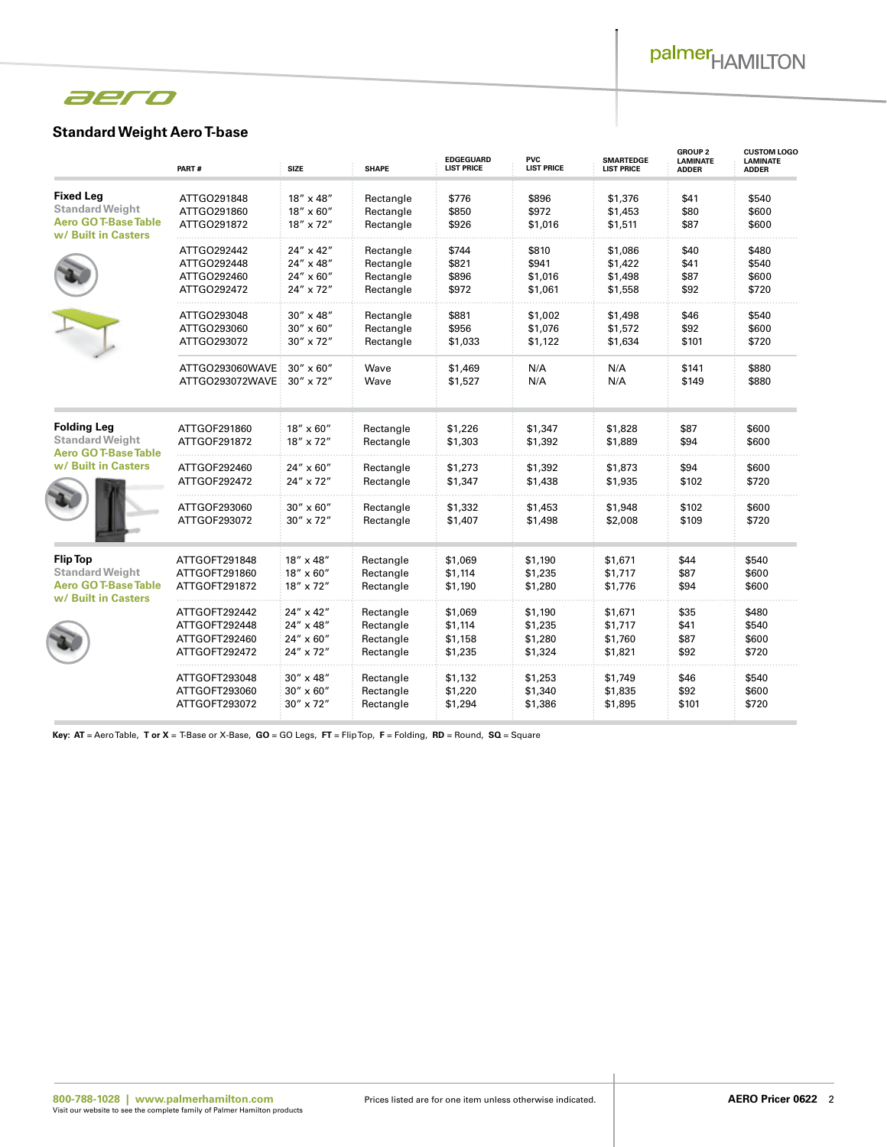

## **Standard Weight Aero T-base**

|                                                                                                  | PART#                                                            | <b>SIZE</b>                                           | <b>SHAPE</b>                                     | <b>EDGEGUARD</b><br><b>LIST PRICE</b>    | <b>PVC</b><br><b>LIST PRICE</b>          | <b>SMARTEDGE</b><br><b>LIST PRICE</b>    | <b>GROUP 2</b><br><b>LAMINATE</b><br><b>ADDER</b> | <b>CUSTOM LOGO</b><br><b>LAMINATE</b><br><b>ADDER</b> |
|--------------------------------------------------------------------------------------------------|------------------------------------------------------------------|-------------------------------------------------------|--------------------------------------------------|------------------------------------------|------------------------------------------|------------------------------------------|---------------------------------------------------|-------------------------------------------------------|
| <b>Fixed Leg</b><br><b>Standard Weight</b><br><b>Aero GO T-Base Table</b><br>w/ Built in Casters | ATTGO291848<br>ATTGO291860<br>ATTGO291872                        | 18" x 48"<br>$18'' \times 60''$<br>18" x 72"          | Rectangle<br>Rectangle<br>Rectangle              | \$776<br>\$850<br>\$926                  | \$896<br>\$972<br>\$1,016                | \$1,376<br>\$1,453<br>\$1,511            | \$41<br>\$80<br>\$87                              | \$540<br>\$600<br>\$600                               |
|                                                                                                  | ATTGO292442<br>ATTGO292448<br>ATTGO292460<br>ATTGO292472         | 24" x 42"<br>24" x 48"<br>24" x 60"<br>24" x 72"      | Rectangle<br>Rectangle<br>Rectangle<br>Rectangle | \$744<br>\$821<br>\$896<br>\$972         | \$810<br>\$941<br>\$1,016<br>\$1,061     | \$1,086<br>\$1,422<br>\$1,498<br>\$1,558 | \$40<br>\$41<br>\$87<br>\$92                      | \$480<br>\$540<br>\$600<br>\$720                      |
|                                                                                                  | ATTGO293048<br>ATTGO293060<br>ATTGO293072                        | 30" x 48"<br>$30'' \times 60''$<br>$30'' \times 72''$ | Rectangle<br>Rectangle<br>Rectangle              | \$881<br>\$956<br>\$1,033                | \$1,002<br>\$1,076<br>\$1,122            | \$1,498<br>\$1,572<br>\$1,634            | \$46<br>\$92<br>\$101                             | \$540<br>\$600<br>\$720                               |
|                                                                                                  | ATTGO293060WAVE<br>ATTGO293072WAVE                               | $30'' \times 60''$<br>$30'' \times 72''$              | Wave<br>Wave                                     | \$1,469<br>\$1,527                       | N/A<br>N/A                               | N/A<br>N/A                               | \$141<br>\$149                                    | \$880<br>\$880                                        |
| <b>Folding Leg</b><br><b>Standard Weight</b><br>Aero GO T-Base Table                             | ATTGOF291860<br>ATTGOF291872                                     | $18'' \times 60''$<br>$18'' \times 72''$              | Rectangle<br>Rectangle                           | \$1,226<br>\$1,303                       | \$1,347<br>\$1,392                       | \$1,828<br>\$1,889                       | \$87<br>\$94                                      | \$600<br>\$600                                        |
| w/ Built in Casters                                                                              | ATTGOF292460<br>ATTGOF292472                                     | $24'' \times 60''$<br>24" x 72"                       | Rectangle<br>Rectangle                           | \$1,273<br>\$1,347                       | \$1,392<br>\$1,438                       | \$1,873<br>\$1,935                       | \$94<br>\$102                                     | \$600<br>\$720                                        |
|                                                                                                  | ATTGOF293060<br>ATTGOF293072                                     | $30'' \times 60''$<br>$30'' \times 72''$              | Rectangle<br>Rectangle                           | \$1,332<br>\$1,407                       | \$1,453<br>\$1,498                       | \$1,948<br>\$2,008                       | \$102<br>\$109                                    | \$600<br>\$720                                        |
| <b>Flip Top</b><br><b>Standard Weight</b><br>Aero GO T-Base Table<br>w/ Built in Casters         | ATTGOFT291848<br>ATTGOFT291860<br>ATTGOFT291872                  | 18" x 48"<br>$18'' \times 60''$<br>18" x 72"          | Rectangle<br>Rectangle<br>Rectangle              | \$1,069<br>\$1,114<br>\$1,190            | \$1,190<br>\$1,235<br>\$1,280            | \$1,671<br>\$1,717<br>\$1,776            | \$44<br>\$87<br>\$94                              | \$540<br>\$600<br>\$600                               |
|                                                                                                  | ATTGOFT292442<br>ATTGOFT292448<br>ATTGOFT292460<br>ATTGOFT292472 | 24" x 42"<br>24" x 48"<br>24" x 60"<br>24" x 72"      | Rectangle<br>Rectangle<br>Rectangle<br>Rectangle | \$1,069<br>\$1,114<br>\$1,158<br>\$1,235 | \$1,190<br>\$1,235<br>\$1,280<br>\$1,324 | \$1,671<br>\$1,717<br>\$1,760<br>\$1,821 | \$35<br>\$41<br>\$87<br>\$92                      | \$480<br>\$540<br>\$600<br>\$720                      |
|                                                                                                  | ATTGOFT293048<br>ATTGOFT293060<br>ATTGOFT293072                  | 30" x 48"<br>$30'' \times 60''$<br>$30'' \times 72''$ | Rectangle<br>Rectangle<br>Rectangle              | \$1,132<br>\$1,220<br>\$1,294            | \$1,253<br>\$1,340<br>\$1,386            | \$1,749<br>\$1,835<br>\$1,895            | \$46<br>\$92<br>\$101                             | \$540<br>\$600<br>\$720                               |

**Key: AT** = Aero Table, **T or X** = T-Base or X-Base, **GO** = GO Legs, **FT** = Flip Top, **F** = Folding, **RD** = Round, **SQ** = Square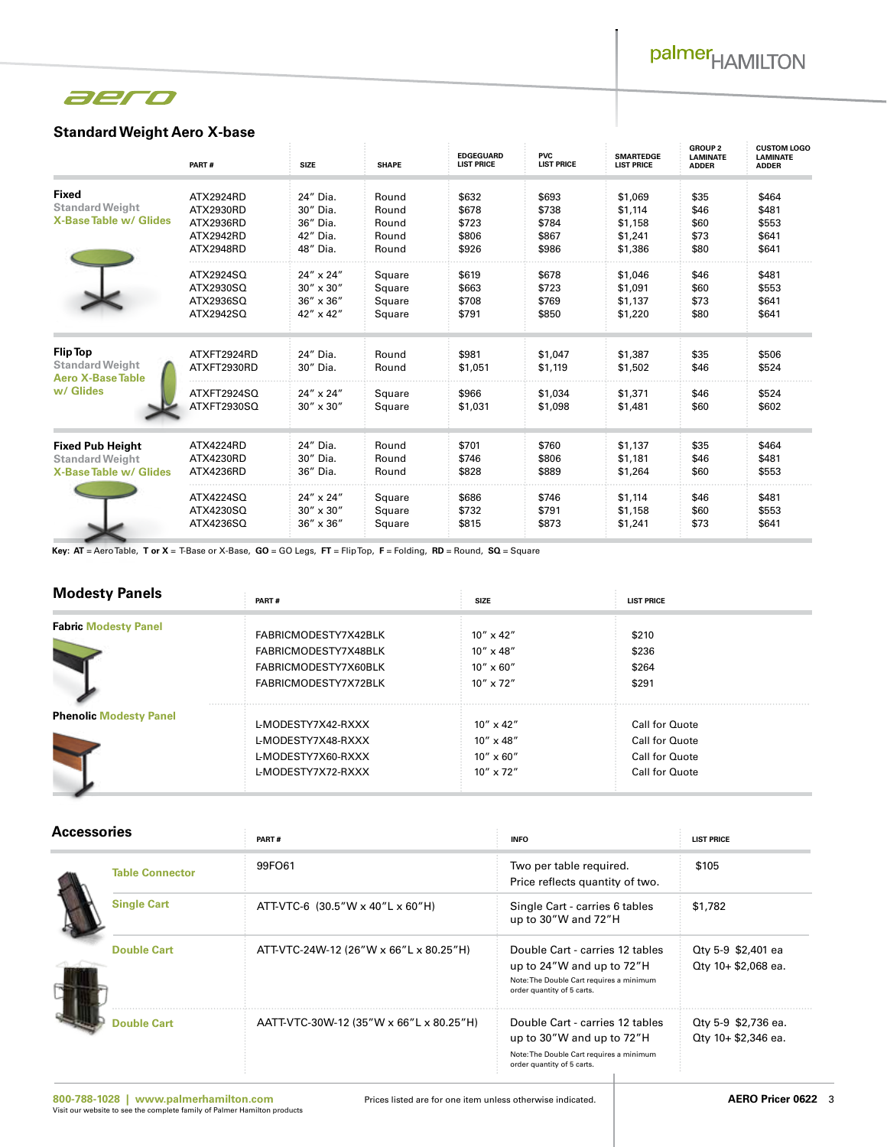# palmer<sub>HAMILTON</sub>

# aero

### **Standard Weight Aero X-base**

|                                                                       | PART#                                                         | <b>SIZE</b>                                              | <b>SHAPE</b>                              | <b>EDGEGUARD</b><br><b>LIST PRICE</b>     | <b>PVC</b><br><b>LIST PRICE</b>           | <b>SMARTEDGE</b><br><b>LIST PRICE</b>               | <b>GROUP 2</b><br><b>LAMINATE</b><br><b>ADDER</b> | <b>CUSTOM LOGO</b><br><b>LAMINATE</b><br><b>ADDER</b> |
|-----------------------------------------------------------------------|---------------------------------------------------------------|----------------------------------------------------------|-------------------------------------------|-------------------------------------------|-------------------------------------------|-----------------------------------------------------|---------------------------------------------------|-------------------------------------------------------|
| Fixed<br><b>Standard Weight</b><br><b>X-Base Table w/ Glides</b>      | ATX2924RD<br>ATX2930RD<br>ATX2936RD<br>ATX2942RD<br>ATX2948RD | 24" Dia.<br>30" Dia.<br>36" Dia.<br>42" Dia.<br>48" Dia. | Round<br>Round<br>Round<br>Round<br>Round | \$632<br>\$678<br>\$723<br>\$806<br>\$926 | \$693<br>\$738<br>\$784<br>\$867<br>\$986 | \$1,069<br>\$1,114<br>\$1,158<br>\$1,241<br>\$1,386 | \$35<br>\$46<br>\$60<br>\$73<br>\$80              | \$464<br>\$481<br>\$553<br>\$641<br>\$641             |
|                                                                       | ATX2924SQ                                                     | 24" x 24"                                                | Square                                    | \$619                                     | \$678                                     | \$1,046                                             | \$46                                              | \$481                                                 |
|                                                                       | ATX2930SQ                                                     | $30'' \times 30''$                                       | Square                                    | \$663                                     | \$723                                     | \$1,091                                             | \$60                                              | \$553                                                 |
|                                                                       | ATX2936SQ                                                     | 36" x 36"                                                | Square                                    | \$708                                     | \$769                                     | \$1,137                                             | \$73                                              | \$641                                                 |
|                                                                       | ATX2942SQ                                                     | 42" x 42"                                                | Square                                    | \$791                                     | \$850                                     | \$1,220                                             | \$80                                              | \$641                                                 |
| <b>Flip Top</b><br><b>Standard Weight</b><br><b>Aero X-Base Table</b> | ATXFT2924RD<br>ATXFT2930RD                                    | 24" Dia.<br>30" Dia.                                     | Round<br>Round                            | \$981<br>\$1,051                          | \$1,047<br>\$1,119                        | \$1,387<br>\$1,502                                  | \$35<br>\$46                                      | \$506<br>\$524                                        |
| w/ Glides                                                             | ATXFT2924SQ                                                   | $24'' \times 24''$                                       | Square                                    | \$966                                     | \$1,034                                   | \$1,371                                             | \$46                                              | \$524                                                 |
|                                                                       | ATXFT2930SQ                                                   | $30'' \times 30''$                                       | Square                                    | \$1,031                                   | \$1,098                                   | \$1,481                                             | \$60                                              | \$602                                                 |
| <b>Fixed Pub Height</b>                                               | ATX4224RD                                                     | 24" Dia.                                                 | Round                                     | \$701                                     | \$760                                     | \$1,137                                             | \$35                                              | \$464                                                 |
| <b>Standard Weight</b>                                                | ATX4230RD                                                     | 30" Dia.                                                 | Round                                     | \$746                                     | \$806                                     | \$1,181                                             | \$46                                              | \$481                                                 |
| <b>X-Base Table w/ Glides</b>                                         | ATX4236RD                                                     | 36" Dia.                                                 | Round                                     | \$828                                     | \$889                                     | \$1,264                                             | \$60                                              | \$553                                                 |
|                                                                       | ATX4224SQ                                                     | $24'' \times 24''$                                       | Square                                    | \$686                                     | \$746                                     | \$1,114                                             | \$46                                              | \$481                                                 |
|                                                                       | ATX4230SQ                                                     | $30'' \times 30''$                                       | Square                                    | \$732                                     | \$791                                     | \$1,158                                             | \$60                                              | \$553                                                 |
|                                                                       | ATX4236SQ                                                     | 36" x 36"                                                | Square                                    | \$815                                     | \$873                                     | \$1.241                                             | \$73                                              | \$641                                                 |

**Key: AT** = Aero Table, **T or X** = T-Base or X-Base, **GO** = GO Legs, **FT** = Flip Top, **F** = Folding, **RD** = Round, **SQ** = Square

#### **Modesty Panels**

| <b>Modesty Panels</b>         | PART#                | <b>SIZE</b>        | <b>LIST PRICE</b>     |  |
|-------------------------------|----------------------|--------------------|-----------------------|--|
| <b>Fabric Modesty Panel</b>   |                      |                    |                       |  |
|                               | FABRICMODESTY7X42BLK | $10'' \times 42''$ | \$210                 |  |
|                               | FABRICMODESTY7X48BLK | $10'' \times 48''$ | \$236                 |  |
|                               | FABRICMODESTY7X60BLK | $10'' \times 60''$ | \$264                 |  |
|                               | FABRICMODESTY7X72BLK | $10'' \times 72''$ | \$291                 |  |
| <b>Phenolic Modesty Panel</b> | L-MODESTY7X42-RXXX   | $10'' \times 42''$ | <b>Call for Quote</b> |  |
|                               | L-MODESTY7X48-RXXX   | $10'' \times 48''$ | <b>Call for Quote</b> |  |
|                               | L-MODESTY7X60-RXXX   | $10'' \times 60''$ | <b>Call for Quote</b> |  |
|                               | L-MODESTY7X72-RXXX   | $10'' \times 72''$ | <b>Call for Quote</b> |  |

#### **Accessories**

| <b>Accessories</b> |                        | PART#                                   | <b>INFO</b>                                                                                                                            | <b>LIST PRICE</b>                          |  |
|--------------------|------------------------|-----------------------------------------|----------------------------------------------------------------------------------------------------------------------------------------|--------------------------------------------|--|
|                    | <b>Table Connector</b> | 99FO61                                  | Two per table required.<br>Price reflects quantity of two.                                                                             | \$105                                      |  |
|                    | <b>Single Cart</b>     | ATT-VTC-6 (30.5"W x 40"L x 60"H)        | Single Cart - carries 6 tables<br>up to 30"W and 72"H                                                                                  | \$1,782                                    |  |
|                    | <b>Double Cart</b>     | ATT-VTC-24W-12 (26"W x 66"L x 80.25"H)  | Double Cart - carries 12 tables<br>up to 24"W and up to 72"H<br>Note: The Double Cart requires a minimum<br>order quantity of 5 carts. | Oty 5-9 \$2,401 ea<br>Oty 10+ \$2,068 ea.  |  |
|                    | <b>Double Cart</b>     | AATT-VTC-30W-12 (35"W x 66"L x 80.25"H) | Double Cart - carries 12 tables<br>up to 30"W and up to 72"H<br>Note: The Double Cart requires a minimum<br>order quantity of 5 carts. | Oty 5-9 \$2,736 ea.<br>Oty 10+ \$2,346 ea. |  |